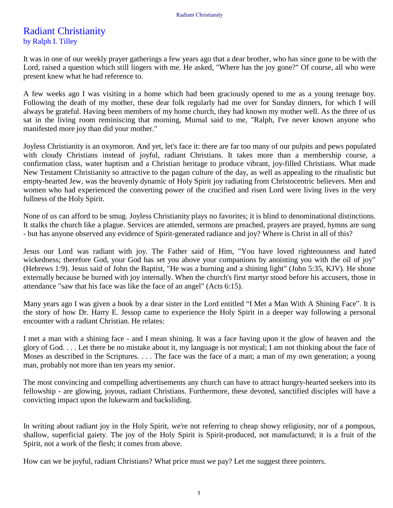## Radiant Christianity by Ralph I. Tilley

It was in one of our weekly prayer gatherings a few years ago that a dear brother, who has since gone to be with the Lord, raised a question which still lingers with me. He asked, "Where has the joy gone?" Of course, all who were present knew what he had reference to.

A few weeks ago I was visiting in a home which had been graciously opened to me as a young teenage boy. Following the death of my mother, these dear folk regularly had me over for Sunday dinners, for which I will always be grateful. Having been members of my home church, they had known my mother well. As the three of us sat in the living room reminiscing that morning, Murnal said to me, "Ralph, I've never known anyone who manifested more joy than did your mother."

Joyless Christianity is an oxymoron. And yet, let's face it: there are far too many of our pulpits and pews populated with cloudy Christians instead of joyful, radiant Christians. It takes more than a membership course, a confirmation class, water baptism and a Christian heritage to produce vibrant, joy-filled Christians. What made New Testament Christianity so attractive to the pagan culture of the day, as well as appealing to the ritualistic but empty-hearted Jew, was the heavenly dynamic of Holy Spirit joy radiating from Christocentric believers. Men and women who had experienced the converting power of the crucified and risen Lord were living lives in the very fullness of the Holy Spirit.

None of us can afford to be smug. Joyless Christianity plays no favorites; it is blind to denominational distinctions. It stalks the church like a plague. Services are attended, sermons are preached, prayers are prayed, hymns are sung - but has anyone observed any evidence of Spirit-generated radiance and joy? Where is Christ in all of this?

Jesus our Lord was radiant with joy. The Father said of Him, "You have loved righteousness and hated wickedness; therefore God, your God has set you above your companions by anointing you with the oil of joy" (Hebrews 1:9). Jesus said of John the Baptist, "He was a burning and a shining light" (John 5:35, KJV). He shone externally because he burned with joy internally. When the church's first martyr stood before his accusers, those in attendance "saw that his face was like the face of an angel" (Acts 6:15).

Many years ago I was given a book by a dear sister in the Lord entitled "I Met a Man With A Shining Face". It is the story of how Dr. Harry E. Jessop came to experience the Holy Spirit in a deeper way following a personal encounter with a radiant Christian. He relates:

I met a man with a shining face - and I mean shining. It was a face having upon it the glow of heaven and the glory of God. . . . Let there be no mistake about it, my language is not mystical; I am not thinking about the face of Moses as described in the Scriptures. . . . The face was the face of a man; a man of my own generation; a young man, probably not more than ten years my senior.

The most convincing and compelling advertisements any church can have to attract hungry-hearted seekers into its fellowship - are glowing, joyous, radiant Christians. Furthermore, these devoted, sanctified disciples will have a convicting impact upon the lukewarm and backsliding.

In writing about radiant joy in the Holy Spirit, we're not referring to cheap showy religiosity, nor of a pompous, shallow, superficial gaiety. The joy of the Holy Spirit is Spirit-produced, not manufactured; it is a fruit of the Spirit, not a work of the flesh; it comes from above.

How can we be joyful, radiant Christians? What price must we pay? Let me suggest three pointers.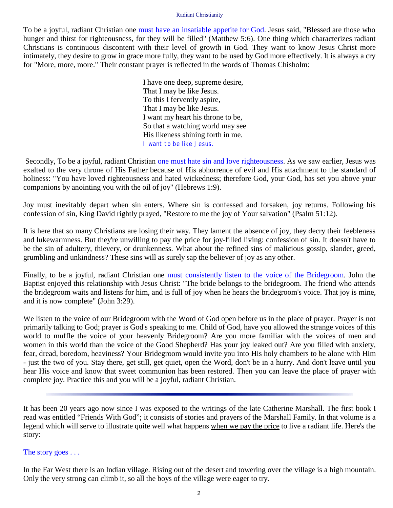## Radiant Christianity

To be a joyful, radiant Christian one must have an insatiable appetite for God. Jesus said, "Blessed are those who hunger and thirst for righteousness, for they will be filled" (Matthew 5:6). One thing which characterizes radiant Christians is continuous discontent with their level of growth in God. They want to know Jesus Christ more intimately, they desire to grow in grace more fully, they want to be used by God more effectively. It is always a cry for "More, more, more." Their constant prayer is reflected in the words of Thomas Chisholm:

> I have one deep, supreme desire, That I may be like Jesus. To this I fervently aspire, That I may be like Jesus. I want my heart his throne to be, So that a watching world may see His likeness shining forth in me. *I want to be like Jesus.*

Secondly, To be a joyful, radiant Christian one must hate sin and love righteousness. As we saw earlier, Jesus was exalted to the very throne of His Father because of His abhorrence of evil and His attachment to the standard of holiness: "You have loved righteousness and hated wickedness; therefore God, your God, has set you above your companions by anointing you with the oil of joy" (Hebrews 1:9).

Joy must inevitably depart when sin enters. Where sin is confessed and forsaken, joy returns. Following his confession of sin, King David rightly prayed, "Restore to me the joy of Your salvation" (Psalm 51:12).

It is here that so many Christians are losing their way. They lament the absence of joy, they decry their feebleness and lukewarmness. But they're unwilling to pay the price for joy-filled living: confession of sin. It doesn't have to be the sin of adultery, thievery, or drunkenness. What about the refined sins of malicious gossip, slander, greed, grumbling and unkindness? These sins will as surely sap the believer of joy as any other.

Finally, to be a joyful, radiant Christian one must consistently listen to the voice of the Bridegroom. John the Baptist enjoyed this relationship with Jesus Christ: "The bride belongs to the bridegroom. The friend who attends the bridegroom waits and listens for him, and is full of joy when he hears the bridegroom's voice. That joy is mine, and it is now complete" (John 3:29).

We listen to the voice of our Bridegroom with the Word of God open before us in the place of prayer. Prayer is not primarily talking to God; prayer is God's speaking to me. Child of God, have you allowed the strange voices of this world to muffle the voice of your heavenly Bridegroom? Are you more familiar with the voices of men and women in this world than the voice of the Good Shepherd? Has your joy leaked out? Are you filled with anxiety, fear, dread, boredom, heaviness? Your Bridegroom would invite you into His holy chambers to be alone with Him - just the two of you. Stay there, get still, get quiet, open the Word, don't be in a hurry. And don't leave until you hear His voice and know that sweet communion has been restored. Then you can leave the place of prayer with complete joy. Practice this and you will be a joyful, radiant Christian.

It has been 20 years ago now since I was exposed to the writings of the late Catherine Marshall. The first book I read was entitled "Friends With God"; it consists of stories and prayers of the Marshall Family. In that volume is a legend which will serve to illustrate quite well what happens when we pay the price to live a radiant life. Here's the story:

The story goes . . .

In the Far West there is an Indian village. Rising out of the desert and towering over the village is a high mountain. Only the very strong can climb it, so all the boys of the village were eager to try.